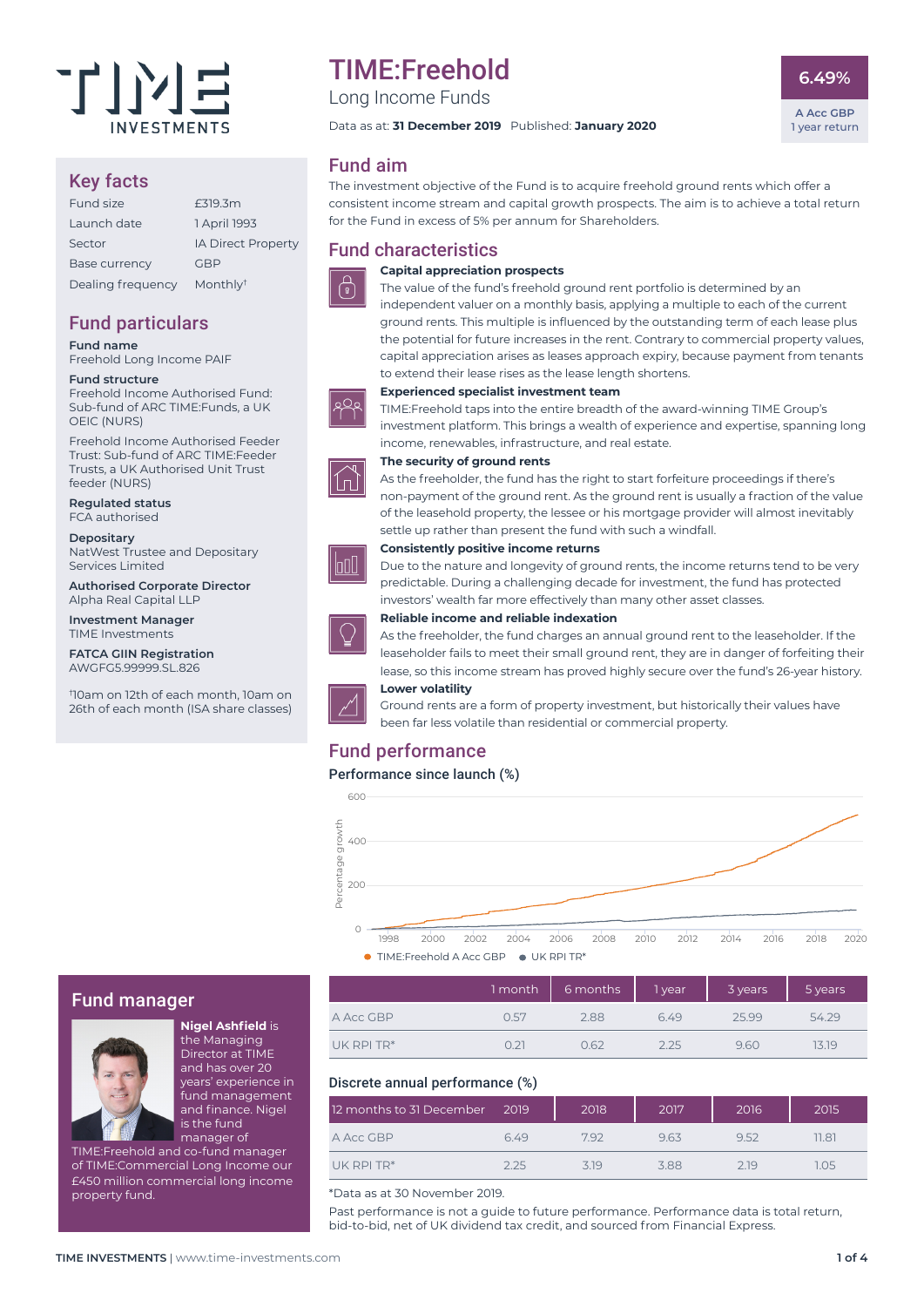

# Key facts

| Fund size         | £319.3m                   |
|-------------------|---------------------------|
| Launch date       | 1 April 1993              |
| Sector            | <b>IA Direct Property</b> |
| Base currency     | <b>GBP</b>                |
| Dealing frequency | Monthly <sup>t</sup>      |

# Fund particulars

**Fund name**

Freehold Long Income PAIF

#### **Fund structure**

Freehold Income Authorised Fund: Sub-fund of ARC TIME:Funds, a UK OEIC (NURS)

Freehold Income Authorised Feeder Trust: Sub-fund of ARC TIME:Feeder Trusts, a UK Authorised Unit Trust feeder (NURS)

**Regulated status** FCA authorised

**Depositary** NatWest Trustee and Depositary Services Limited

**Authorised Corporate Director** Alpha Real Capital LLP

**Investment Manager** TIME Investments

**FATCA GIIN Registration** AWGFG5.99999.SL.826

† 10am on 12th of each month, 10am on 26th of each month (ISA share classes)

# TIME:Freehold

Long Income Funds

Data as at: **31 December 2019** Published: **January 2020**

## Fund aim

The investment objective of the Fund is to acquire freehold ground rents which offer a consistent income stream and capital growth prospects. The aim is to achieve a total return for the Fund in excess of 5% per annum for Shareholders.

# Fund characteristics



### **Capital appreciation prospects**

The value of the fund's freehold ground rent portfolio is determined by an independent valuer on a monthly basis, applying a multiple to each of the current ground rents. This multiple is influenced by the outstanding term of each lease plus the potential for future increases in the rent. Contrary to commercial property values, capital appreciation arises as leases approach expiry, because payment from tenants to extend their lease rises as the lease length shortens.



#### **Experienced specialist investment team**

TIME:Freehold taps into the entire breadth of the award-winning TIME Group's investment platform. This brings a wealth of experience and expertise, spanning long income, renewables, infrastructure, and real estate.



## **The security of ground rents**

As the freeholder, the fund has the right to start forfeiture proceedings if there's non-payment of the ground rent. As the ground rent is usually a fraction of the value of the leasehold property, the lessee or his mortgage provider will almost inevitably settle up rather than present the fund with such a windfall.

#### **Consistently positive income returns**

Due to the nature and longevity of ground rents, the income returns tend to be very predictable. During a challenging decade for investment, the fund has protected investors' wealth far more effectively than many other asset classes.



boO

#### **Reliable income and reliable indexation**

As the freeholder, the fund charges an annual ground rent to the leaseholder. If the leaseholder fails to meet their small ground rent, they are in danger of forfeiting their lease, so this income stream has proved highly secure over the fund's 26-year history. **Lower volatility**

Ground rents are a form of property investment, but historically their values have been far less volatile than residential or commercial property.

## Fund performance

#### Performance since launch (%)



## Fund manager



**Nigel Ashfield** is the Managing Director at TIME and has over 20 years' experience in fund management and finance. Nigel is the fund manager of

TIME:Freehold and co-fund manager of TIME:Commercial Long Income our £450 million commercial long income property fund.

|            | 1 month | 6 months | 1 year | 3 years | 5 years |
|------------|---------|----------|--------|---------|---------|
| A Acc GBP  | 0.57    | 2.88     | 649    | 2599    | 54.29   |
| UK RPI TR* | 0.21    | 062      | 225    | 9.60    | 1319    |

## Discrete annual performance (%)

| 12 months to 31 December 2019 |      | 2018 | 2017 | 2016 | 2015  |
|-------------------------------|------|------|------|------|-------|
| A Acc GBP                     | 649  | 792  | 963  | 9.52 | 11 R1 |
| $UK$ RPI TR*                  | 2 25 | 319  | 388  | 219  | 05    |

\*Data as at 30 November 2019.

Past performance is not a guide to future performance. Performance data is total return, bid-to-bid, net of UK dividend tax credit, and sourced from Financial Express.

## **6.49%**

**A Acc GBP** 1 year return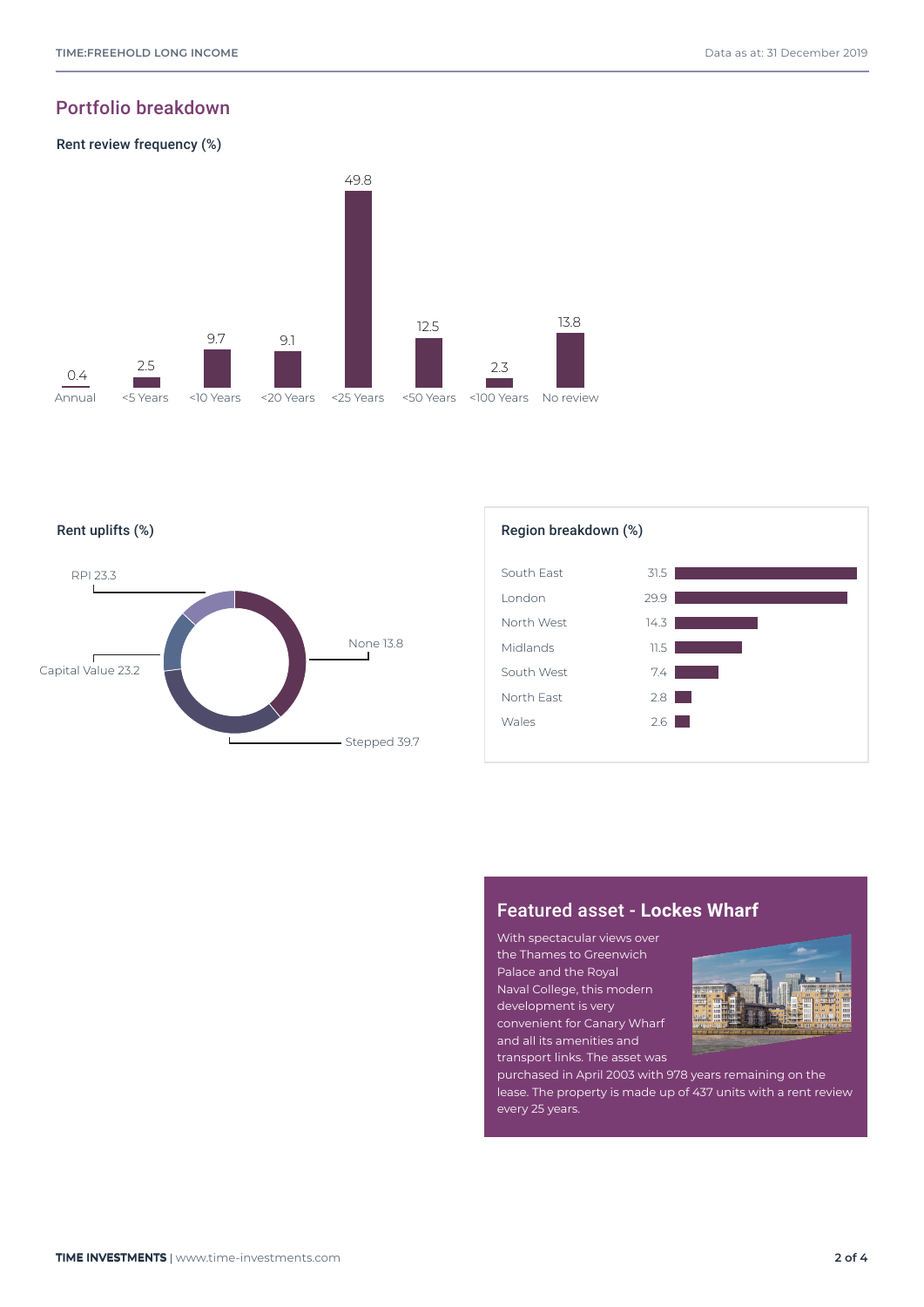## Portfolio breakdown







# Featured asset - **Lockes Wharf**

With spectacular views over the Thames to Greenwich Palace and the Royal Naval College, this modern development is very convenient for Canary Wharf and all its amenities and transport links. The asset was



purchased in April 2003 with 978 years remaining on the lease. The property is made up of 437 units with a rent review every 25 years.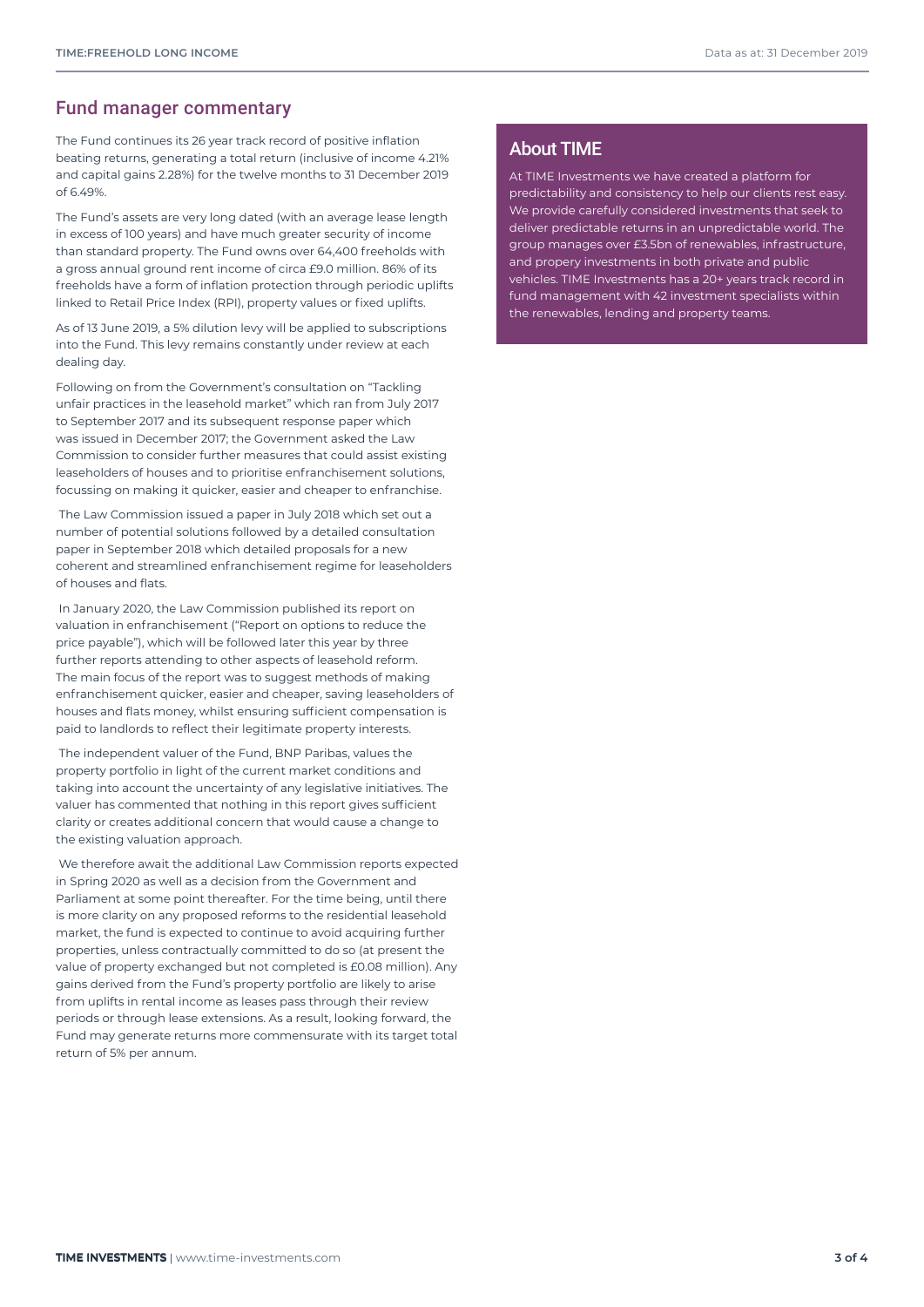## Fund manager commentary

The Fund continues its 26 year track record of positive inflation beating returns, generating a total return (inclusive of income 4.21% and capital gains 2.28%) for the twelve months to 31 December 2019 of 6.49%.

The Fund's assets are very long dated (with an average lease length in excess of 100 years) and have much greater security of income than standard property. The Fund owns over 64,400 freeholds with a gross annual ground rent income of circa £9.0 million. 86% of its freeholds have a form of inflation protection through periodic uplifts linked to Retail Price Index (RPI), property values or fixed uplifts.

As of 13 June 2019, a 5% dilution levy will be applied to subscriptions into the Fund. This levy remains constantly under review at each dealing day.

Following on from the Government's consultation on "Tackling unfair practices in the leasehold market" which ran from July 2017 to September 2017 and its subsequent response paper which was issued in December 2017; the Government asked the Law Commission to consider further measures that could assist existing leaseholders of houses and to prioritise enfranchisement solutions, focussing on making it quicker, easier and cheaper to enfranchise.

 The Law Commission issued a paper in July 2018 which set out a number of potential solutions followed by a detailed consultation paper in September 2018 which detailed proposals for a new coherent and streamlined enfranchisement regime for leaseholders of houses and flats.

 In January 2020, the Law Commission published its report on valuation in enfranchisement ("Report on options to reduce the price payable"), which will be followed later this year by three further reports attending to other aspects of leasehold reform. The main focus of the report was to suggest methods of making enfranchisement quicker, easier and cheaper, saving leaseholders of houses and flats money, whilst ensuring sufficient compensation is paid to landlords to reflect their legitimate property interests.

 The independent valuer of the Fund, BNP Paribas, values the property portfolio in light of the current market conditions and taking into account the uncertainty of any legislative initiatives. The valuer has commented that nothing in this report gives sufficient clarity or creates additional concern that would cause a change to the existing valuation approach.

 We therefore await the additional Law Commission reports expected in Spring 2020 as well as a decision from the Government and Parliament at some point thereafter. For the time being, until there is more clarity on any proposed reforms to the residential leasehold market, the fund is expected to continue to avoid acquiring further properties, unless contractually committed to do so (at present the value of property exchanged but not completed is £0.08 million). Any gains derived from the Fund's property portfolio are likely to arise from uplifts in rental income as leases pass through their review periods or through lease extensions. As a result, looking forward, the Fund may generate returns more commensurate with its target total return of 5% per annum.

## About TIME

At TIME Investments we have created a platform for predictability and consistency to help our clients rest easy. We provide carefully considered investments that seek to deliver predictable returns in an unpredictable world. The group manages over £3.5bn of renewables, infrastructure, and propery investments in both private and public vehicles. TIME Investments has a 20+ years track record in fund management with 42 investment specialists within the renewables, lending and property teams.